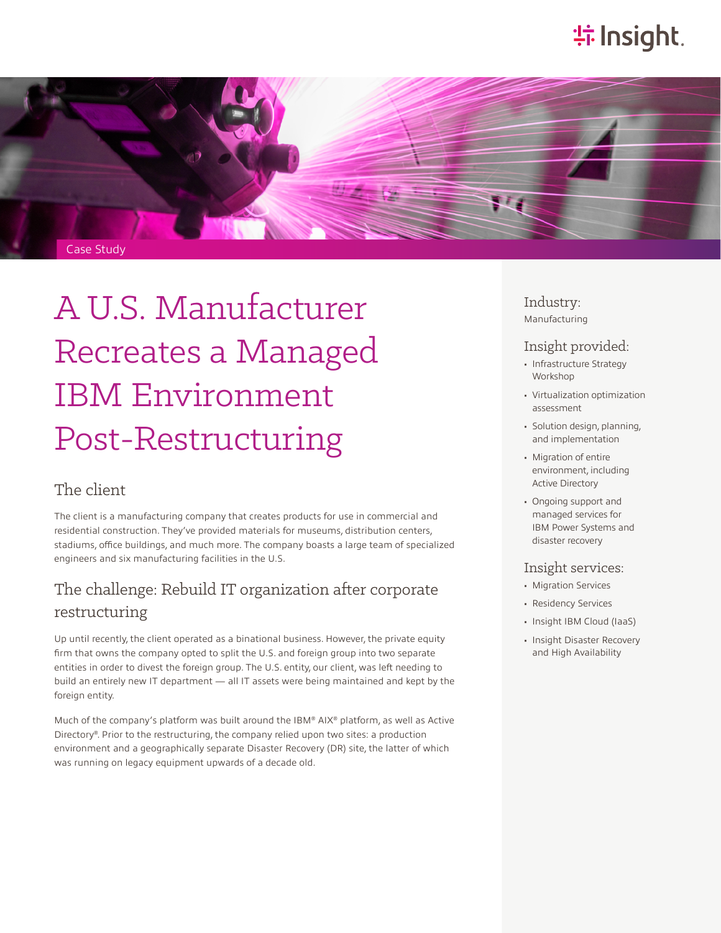# **特Insight**.



# A U.S. Manufacturer Recreates a Managed IBM Environment Post-Restructuring

#### The client

The client is a manufacturing company that creates products for use in commercial and residential construction. They've provided materials for museums, distribution centers, stadiums, office buildings, and much more. The company boasts a large team of specialized engineers and six manufacturing facilities in the U.S.

### The challenge: Rebuild IT organization after corporate restructuring

Up until recently, the client operated as a binational business. However, the private equity firm that owns the company opted to split the U.S. and foreign group into two separate entities in order to divest the foreign group. The U.S. entity, our client, was left needing to build an entirely new IT department — all IT assets were being maintained and kept by the foreign entity.

Much of the company's platform was built around the IBM® AIX® platform, as well as Active Directory®. Prior to the restructuring, the company relied upon two sites: a production environment and a geographically separate Disaster Recovery (DR) site, the latter of which was running on legacy equipment upwards of a decade old.

#### Industry: Manufacturing

#### Insight provided:

- Infrastructure Strategy Workshop
- Virtualization optimization assessment
- Solution design, planning, and implementation
- Migration of entire environment, including Active Directory
- Ongoing support and managed services for IBM Power Systems and disaster recovery

#### Insight services:

- Migration Services
- Residency Services
- Insight IBM Cloud (IaaS)
- Insight Disaster Recovery and High Availability